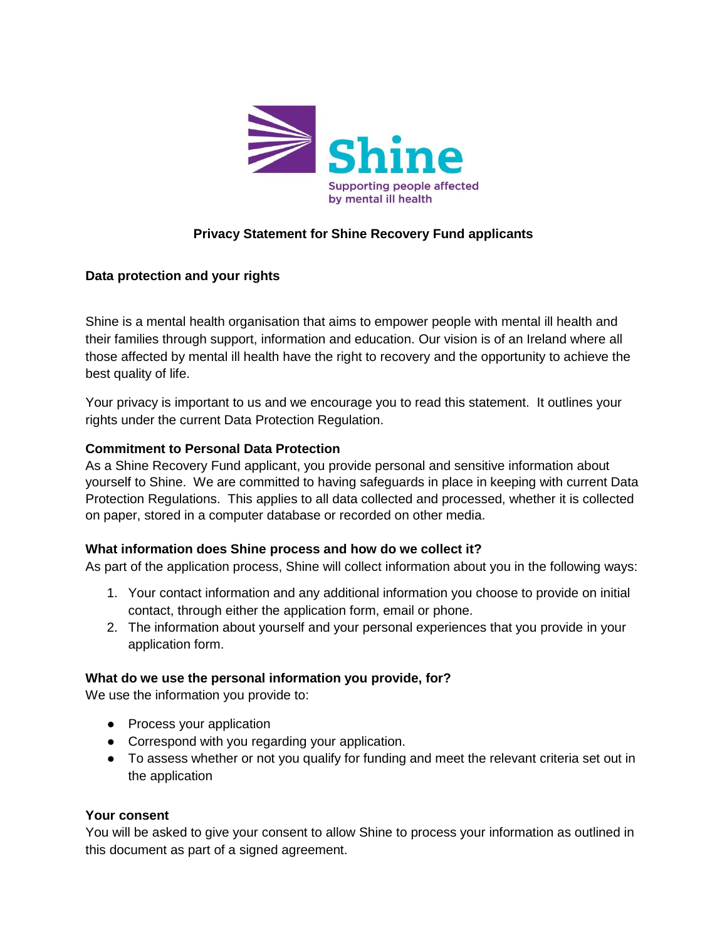

# **Privacy Statement for Shine Recovery Fund applicants**

### **Data protection and your rights**

Shine is a mental health organisation that aims to empower people with mental ill health and their families through support, information and education. Our vision is of an Ireland where all those affected by mental ill health have the right to recovery and the opportunity to achieve the best quality of life.

Your privacy is important to us and we encourage you to read this statement. It outlines your rights under the current Data Protection Regulation.

#### **Commitment to Personal Data Protection**

As a Shine Recovery Fund applicant, you provide personal and sensitive information about yourself to Shine. We are committed to having safeguards in place in keeping with current Data Protection Regulations. This applies to all data collected and processed, whether it is collected on paper, stored in a computer database or recorded on other media.

#### **What information does Shine process and how do we collect it?**

As part of the application process, Shine will collect information about you in the following ways:

- 1. Your contact information and any additional information you choose to provide on initial contact, through either the application form, email or phone.
- 2. The information about yourself and your personal experiences that you provide in your application form.

### **What do we use the personal information you provide, for?**

We use the information you provide to:

- Process your application
- Correspond with you regarding your application.
- To assess whether or not you qualify for funding and meet the relevant criteria set out in the application

#### **Your consent**

You will be asked to give your consent to allow Shine to process your information as outlined in this document as part of a signed agreement.